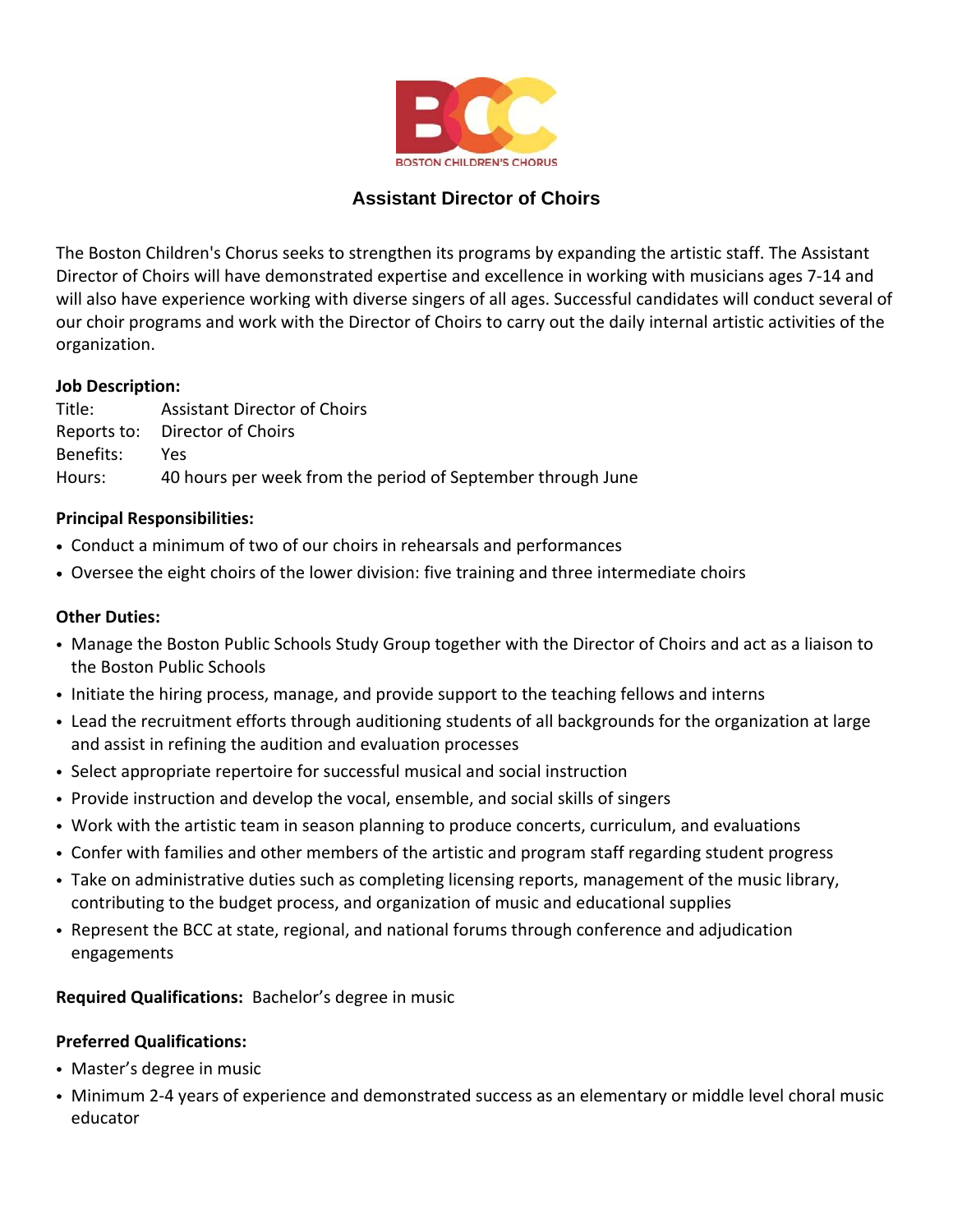

# **Assistant Director of Choirs**

The Boston Children's Chorus seeks to strengthen its programs by expanding the artistic staff. The Assistant Director of Choirs will have demonstrated expertise and excellence in working with musicians ages 7‐14 and will also have experience working with diverse singers of all ages. Successful candidates will conduct several of our choir programs and work with the Director of Choirs to carry out the daily internal artistic activities of the organization.

#### **Job Description:**

Title: Assistant Director of Choirs Reports to: Director of Choirs Benefits: Yes Hours: 40 hours per week from the period of September through June

## **Principal Responsibilities:**

- Conduct a minimum of two of our choirs in rehearsals and performances
- Oversee the eight choirs of the lower division: five training and three intermediate choirs

### **Other Duties:**

- Manage the Boston Public Schools Study Group together with the Director of Choirs and act as a liaison to the Boston Public Schools
- Initiate the hiring process, manage, and provide support to the teaching fellows and interns
- Lead the recruitment efforts through auditioning students of all backgrounds for the organization at large and assist in refining the audition and evaluation processes
- Select appropriate repertoire for successful musical and social instruction
- Provide instruction and develop the vocal, ensemble, and social skills of singers
- Work with the artistic team in season planning to produce concerts, curriculum, and evaluations
- Confer with families and other members of the artistic and program staff regarding student progress
- Take on administrative duties such as completing licensing reports, management of the music library, contributing to the budget process, and organization of music and educational supplies
- Represent the BCC at state, regional, and national forums through conference and adjudication engagements

#### **Required Qualifications:** Bachelor's degree in music

#### **Preferred Qualifications:**

- Master's degree in music
- Minimum 2‐4 years of experience and demonstrated success as an elementary or middle level choral music educator